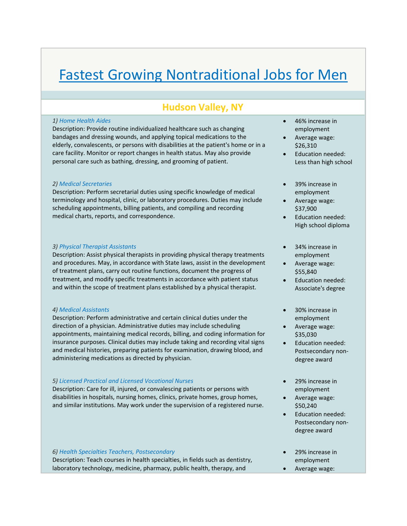# Fastest Growing Nontraditional Jobs for Men

## **Hudson Valley, NY**

#### *1) Home Health Aides*

Description: Provide routine individualized healthcare such as changing bandages and dressing wounds, and applying topical medications to the elderly, convalescents, or persons with disabilities at the patient's home or in a care facility. Monitor or report changes in health status. May also provide personal care such as bathing, dressing, and grooming of patient.

#### *2) Medical Secretaries*

Description: Perform secretarial duties using specific knowledge of medical terminology and hospital, clinic, or laboratory procedures. Duties may include scheduling appointments, billing patients, and compiling and recording medical charts, reports, and correspondence.

#### *3) Physical Therapist Assistants*

Description: Assist physical therapists in providing physical therapy treatments and procedures. May, in accordance with State laws, assist in the development of treatment plans, carry out routine functions, document the progress of treatment, and modify specific treatments in accordance with patient status and within the scope of treatment plans established by a physical therapist.

#### *4) Medical Assistants*

Description: Perform administrative and certain clinical duties under the direction of a physician. Administrative duties may include scheduling appointments, maintaining medical records, billing, and coding information for insurance purposes. Clinical duties may include taking and recording vital signs and medical histories, preparing patients for examination, drawing blood, and administering medications as directed by physician.

### *5) Licensed Practical and Licensed Vocational Nurses*

Description: Care for ill, injured, or convalescing patients or persons with disabilities in hospitals, nursing homes, clinics, private homes, group homes, and similar institutions. May work under the supervision of a registered nurse.

#### *6) Health Specialties Teachers, Postsecondary*

Description: Teach courses in health specialties, in fields such as dentistry, laboratory technology, medicine, pharmacy, public health, therapy, and

- 46% increase in employment
- Average wage: \$26,310
- Education needed: Less than high school
- 39% increase in employment
- Average wage: \$37,900
- Education needed: High school diploma
- 34% increase in employment
- Average wage: \$55,840
- Education needed: Associate's degree
- 30% increase in employment
- Average wage: \$35,030
- Education needed: Postsecondary non‐ degree award
- 29% increase in employment
- Average wage: \$50,240
- Education needed: Postsecondary non‐ degree award
- 29% increase in employment
- Average wage: